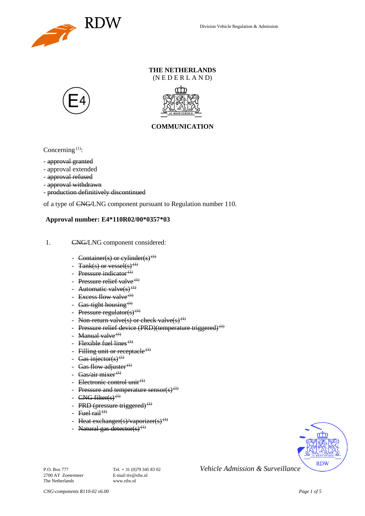

## **THE NETHERLANDS** (N E D E R L A N D)





## **COMMUNICATION**

Concerning  $(1)$ :

- approval granted
- approval extended
- approval refused
- approval withdrawn
- production definitively discontinued

of a type of CNG/LNG component pursuant to Regulation number 110.

## **Approval number: E4\*110R02/00\*0357\*03**

- 1. CNG/LNG component considered:
	- Container(s) or cylinder(s)<sup>(1)</sup>
	- $\text{Rank}(s)$  or vessel(s)<sup>(1)</sup>
	- Pressure indicator $(1)$
	- Pressure relief valve<sup> $(1)$ </sup>
	- Automatic valve $(s)$ <sup>(1)</sup>
	- Excess flow valve $(1)$
	- Gas-tight housing<sup> $(1)$ </sup>
	- Pressure regulator(s) $(1)$
	- Non-return valve(s) or check valve(s)<sup>(1)</sup>
	- Pressure relief device (PRD)(temperature triggered)<sup>(1)</sup>
	- Manual valve<sup> $(1)$ </sup>
	- Flexible fuel lines<sup> $(1)$ </sup>
	- Filling unit or receptacle  $(1)$
	- Gas injector(s)<sup>(1)</sup>
	- Gas flow adjuster $^{(1)}$
	- Gas/air mixer<sup>(1)</sup>
	- Electronic control unit<sup>(1)</sup>
	- Pressure and temperature sensor(s)<sup>(1)</sup>
	- $CNG$  filter(s)<sup>(1)</sup>
	- PRD (pressure triggered) $<sup>(1)</sup>$ </sup>
	- Fuel rail  $(1)$
	- Heat exchanger(s)/vaporizer(s)<sup>(1)</sup>
	- Natural gas detector(s)<sup>(1)</sup>



2700 AT Zoetermeer The Netherlands www.rdw.nl

P.O. Box 777<br> **P.O. Box 777** Tel. + 31 (0)79 345 83 02 *Vehicle Admission & Surveillance*<br>
F-mail tty@rdw.nl